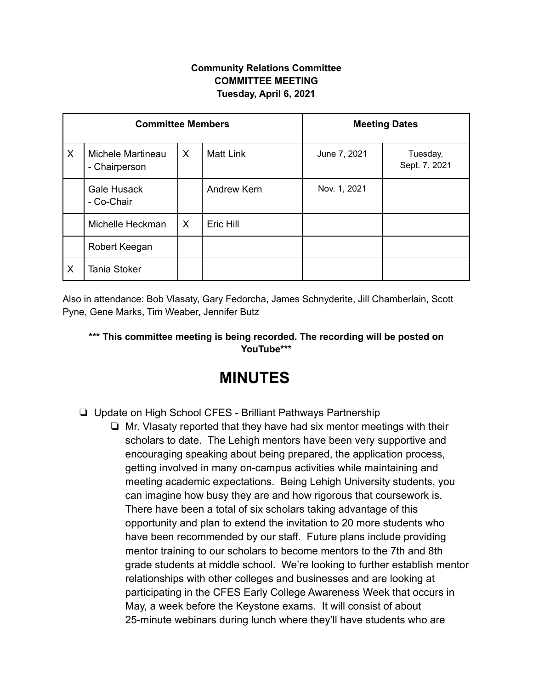## **Community Relations Committee COMMITTEE MEETING Tuesday, April 6, 2021**

| <b>Committee Members</b> |                                    |   |                  | <b>Meeting Dates</b> |                           |
|--------------------------|------------------------------------|---|------------------|----------------------|---------------------------|
| X                        | Michele Martineau<br>- Chairperson | X | <b>Matt Link</b> | June 7, 2021         | Tuesday,<br>Sept. 7, 2021 |
|                          | Gale Husack<br>- Co-Chair          |   | Andrew Kern      | Nov. 1, 2021         |                           |
|                          | Michelle Heckman                   | X | Eric Hill        |                      |                           |
|                          | Robert Keegan                      |   |                  |                      |                           |
| X                        | <b>Tania Stoker</b>                |   |                  |                      |                           |

Also in attendance: Bob Vlasaty, Gary Fedorcha, James Schnyderite, Jill Chamberlain, Scott Pyne, Gene Marks, Tim Weaber, Jennifer Butz

## **\*\*\* This committee meeting is being recorded. The recording will be posted on YouTube\*\*\***

## **MINUTES**

- ❏ Update on High School CFES Brilliant Pathways Partnership
	- ❏ Mr. Vlasaty reported that they have had six mentor meetings with their scholars to date. The Lehigh mentors have been very supportive and encouraging speaking about being prepared, the application process, getting involved in many on-campus activities while maintaining and meeting academic expectations. Being Lehigh University students, you can imagine how busy they are and how rigorous that coursework is. There have been a total of six scholars taking advantage of this opportunity and plan to extend the invitation to 20 more students who have been recommended by our staff. Future plans include providing mentor training to our scholars to become mentors to the 7th and 8th grade students at middle school. We're looking to further establish mentor relationships with other colleges and businesses and are looking at participating in the CFES Early College Awareness Week that occurs in May, a week before the Keystone exams. It will consist of about 25-minute webinars during lunch where they'll have students who are